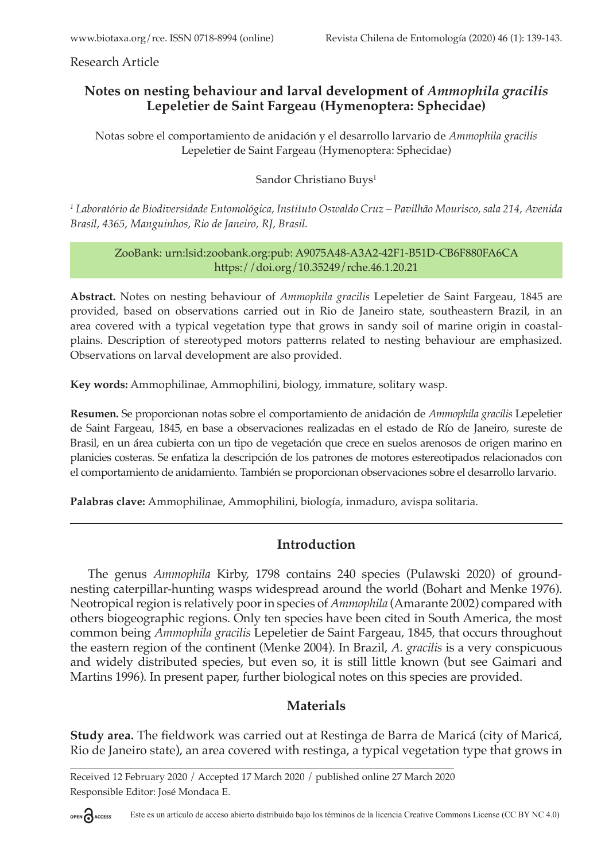Research Article

# **Notes on nesting behaviour and larval development of** *Ammophila gracilis*  **Lepeletier de Saint Fargeau (Hymenoptera: Sphecidae)**

Notas sobre el comportamiento de anidación y el desarrollo larvario de *Ammophila gracilis* Lepeletier de Saint Fargeau (Hymenoptera: Sphecidae)

Sandor Christiano Buys<sup>1</sup>

<sup>1</sup> Laboratório de Biodiversidade Entomológica, Instituto Oswaldo Cruz – Pavilhão Mourisco, sala 214, Avenida *Brasil, 4365, Manguinhos, Rio de Janeiro, RJ, Brasil.*

#### ZooBank: urn:lsid:zoobank.org:pub: A9075A48-A3A2-42F1-B51D-CB6F880FA6CA https://doi.org/10.35249/rche.46.1.20.21

**Abstract.** Notes on nesting behaviour of *Ammophila gracilis* Lepeletier de Saint Fargeau, 1845 are provided, based on observations carried out in Rio de Janeiro state, southeastern Brazil, in an area covered with a typical vegetation type that grows in sandy soil of marine origin in coastalplains. Description of stereotyped motors patterns related to nesting behaviour are emphasized. Observations on larval development are also provided.

**Key words:** Ammophilinae, Ammophilini, biology, immature, solitary wasp.

**Resumen.** Se proporcionan notas sobre el comportamiento de anidación de *Ammophila gracilis* Lepeletier de Saint Fargeau, 1845, en base a observaciones realizadas en el estado de Río de Janeiro, sureste de Brasil, en un área cubierta con un tipo de vegetación que crece en suelos arenosos de origen marino en planicies costeras. Se enfatiza la descripción de los patrones de motores estereotipados relacionados con el comportamiento de anidamiento. También se proporcionan observaciones sobre el desarrollo larvario.

**Palabras clave:** Ammophilinae, Ammophilini, biología, inmaduro, avispa solitaria.

# **Introduction**

The genus *Ammophila* Kirby, 1798 contains 240 species (Pulawski 2020) of groundnesting caterpillar-hunting wasps widespread around the world (Bohart and Menke 1976). Neotropical region is relatively poor in species of *Ammophila* (Amarante 2002) compared with others biogeographic regions. Only ten species have been cited in South America, the most common being *Ammophila gracilis* Lepeletier de Saint Fargeau, 1845, that occurs throughout the eastern region of the continent (Menke 2004). In Brazil, *A. gracilis* is a very conspicuous and widely distributed species, but even so, it is still little known (but see Gaimari and Martins 1996). In present paper, further biological notes on this species are provided.

# **Materials**

**Study area.** The fieldwork was carried out at Restinga de Barra de Maricá (city of Maricá, Rio de Janeiro state), an area covered with restinga, a typical vegetation type that grows in

Received 12 February 2020 / Accepted 17 March 2020 / published online 27 March 2020 Responsible Editor: José Mondaca E.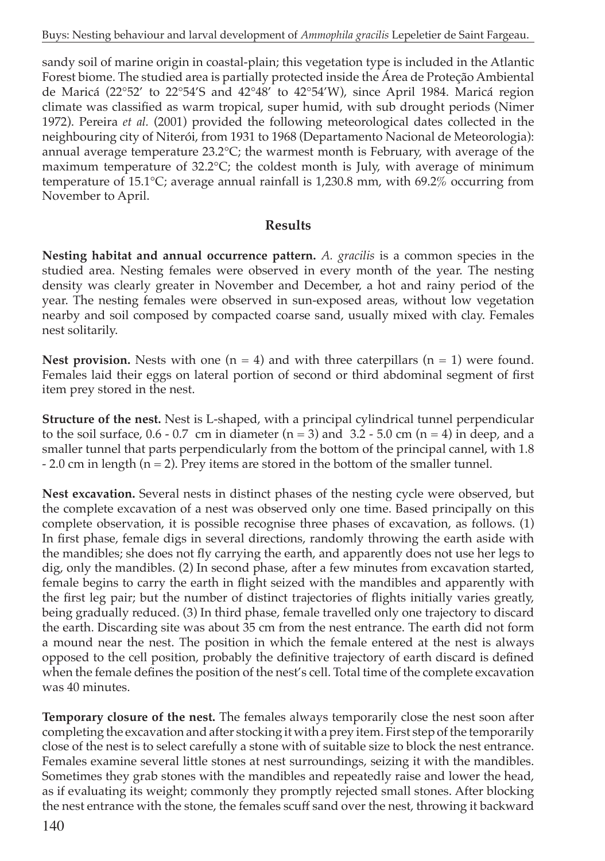sandy soil of marine origin in coastal-plain; this vegetation type is included in the Atlantic Forest biome. The studied area is partially protected inside the Área de Proteção Ambiental de Maricá (22°52' to 22°54'S and 42°48' to 42°54'W), since April 1984. Maricá region climate was classified as warm tropical, super humid, with sub drought periods (Nimer 1972). Pereira *et al.* (2001) provided the following meteorological dates collected in the neighbouring city of Niterói, from 1931 to 1968 (Departamento Nacional de Meteorologia): annual average temperature  $23.2^{\circ}$ C; the warmest month is February, with average of the maximum temperature of  $32.2^{\circ}C$ ; the coldest month is July, with average of minimum temperature of 15.1°C; average annual rainfall is 1,230.8 mm, with 69.2% occurring from November to April.

#### **Results**

**Nesting habitat and annual occurrence pattern.** *A. gracilis* is a common species in the studied area. Nesting females were observed in every month of the year. The nesting density was clearly greater in November and December, a hot and rainy period of the year. The nesting females were observed in sun-exposed areas, without low vegetation nearby and soil composed by compacted coarse sand, usually mixed with clay. Females nest solitarily.

**Nest provision.** Nests with one  $(n = 4)$  and with three caterpillars  $(n = 1)$  were found. Females laid their eggs on lateral portion of second or third abdominal segment of first item prey stored in the nest.

**Structure of the nest.** Nest is L-shaped, with a principal cylindrical tunnel perpendicular to the soil surface,  $0.6 - 0.7$  cm in diameter (n = 3) and 3.2 - 5.0 cm (n = 4) in deep, and a smaller tunnel that parts perpendicularly from the bottom of the principal cannel, with 1.8  $-2.0$  cm in length ( $n = 2$ ). Prey items are stored in the bottom of the smaller tunnel.

**Nest excavation.** Several nests in distinct phases of the nesting cycle were observed, but the complete excavation of a nest was observed only one time. Based principally on this complete observation, it is possible recognise three phases of excavation, as follows. (1) In first phase, female digs in several directions, randomly throwing the earth aside with the mandibles; she does not fly carrying the earth, and apparently does not use her legs to dig, only the mandibles. (2) In second phase, after a few minutes from excavation started, female begins to carry the earth in flight seized with the mandibles and apparently with the first leg pair; but the number of distinct trajectories of flights initially varies greatly, being gradually reduced. (3) In third phase, female travelled only one trajectory to discard the earth. Discarding site was about 35 cm from the nest entrance. The earth did not form a mound near the nest. The position in which the female entered at the nest is always opposed to the cell position, probably the definitive trajectory of earth discard is defined when the female defines the position of the nest's cell. Total time of the complete excavation was 40 minutes.

**Temporary closure of the nest.** The females always temporarily close the nest soon after completing the excavation and after stocking it with a prey item. First step of the temporarily close of the nest is to select carefully a stone with of suitable size to block the nest entrance. Females examine several little stones at nest surroundings, seizing it with the mandibles. Sometimes they grab stones with the mandibles and repeatedly raise and lower the head, as if evaluating its weight; commonly they promptly rejected small stones. After blocking the nest entrance with the stone, the females scuff sand over the nest, throwing it backward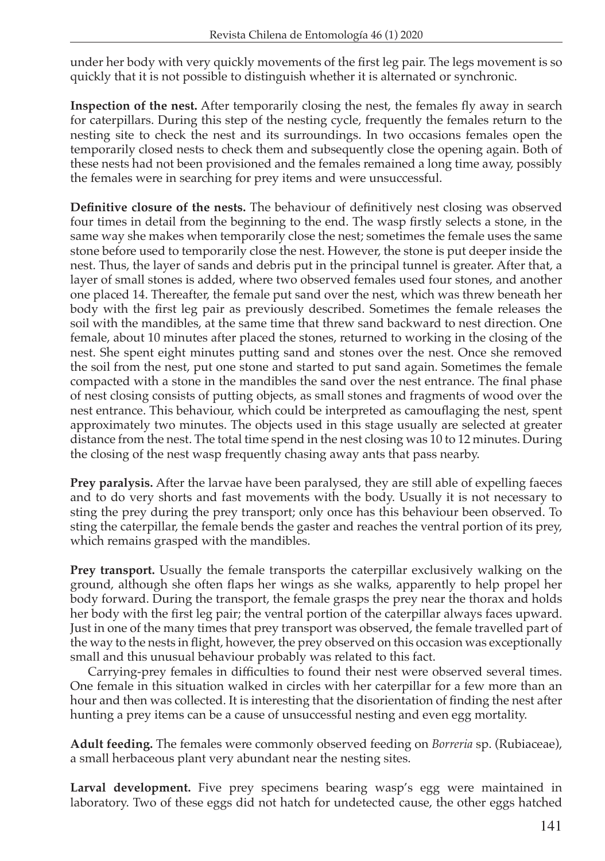under her body with very quickly movements of the first leg pair. The legs movement is so quickly that it is not possible to distinguish whether it is alternated or synchronic.

**Inspection of the nest.** After temporarily closing the nest, the females fly away in search for caterpillars. During this step of the nesting cycle, frequently the females return to the nesting site to check the nest and its surroundings. In two occasions females open the temporarily closed nests to check them and subsequently close the opening again. Both of these nests had not been provisioned and the females remained a long time away, possibly the females were in searching for prey items and were unsuccessful.

**Definitive closure of the nests.** The behaviour of definitively nest closing was observed four times in detail from the beginning to the end. The wasp firstly selects a stone, in the same way she makes when temporarily close the nest; sometimes the female uses the same stone before used to temporarily close the nest. However, the stone is put deeper inside the nest. Thus, the layer of sands and debris put in the principal tunnel is greater. After that, a layer of small stones is added, where two observed females used four stones, and another one placed 14. Thereafter, the female put sand over the nest, which was threw beneath her body with the first leg pair as previously described. Sometimes the female releases the soil with the mandibles, at the same time that threw sand backward to nest direction. One female, about 10 minutes after placed the stones, returned to working in the closing of the nest. She spent eight minutes putting sand and stones over the nest. Once she removed the soil from the nest, put one stone and started to put sand again. Sometimes the female compacted with a stone in the mandibles the sand over the nest entrance. The final phase of nest closing consists of putting objects, as small stones and fragments of wood over the nest entrance. This behaviour, which could be interpreted as camouflaging the nest, spent approximately two minutes. The objects used in this stage usually are selected at greater distance from the nest. The total time spend in the nest closing was 10 to 12 minutes. During the closing of the nest wasp frequently chasing away ants that pass nearby.

**Prey paralysis.** After the larvae have been paralysed, they are still able of expelling faeces and to do very shorts and fast movements with the body. Usually it is not necessary to sting the prey during the prey transport; only once has this behaviour been observed. To sting the caterpillar, the female bends the gaster and reaches the ventral portion of its prey, which remains grasped with the mandibles.

**Prey transport.** Usually the female transports the caterpillar exclusively walking on the ground, although she often flaps her wings as she walks, apparently to help propel her body forward. During the transport, the female grasps the prey near the thorax and holds her body with the first leg pair; the ventral portion of the caterpillar always faces upward. Just in one of the many times that prey transport was observed, the female travelled part of the way to the nests in flight, however, the prey observed on this occasion was exceptionally small and this unusual behaviour probably was related to this fact.

Carrying-prey females in difficulties to found their nest were observed several times. One female in this situation walked in circles with her caterpillar for a few more than an hour and then was collected. It is interesting that the disorientation of finding the nest after hunting a prey items can be a cause of unsuccessful nesting and even egg mortality.

**Adult feeding.** The females were commonly observed feeding on *Borreria* sp. (Rubiaceae), a small herbaceous plant very abundant near the nesting sites.

**Larval development.** Five prey specimens bearing wasp's egg were maintained in laboratory. Two of these eggs did not hatch for undetected cause, the other eggs hatched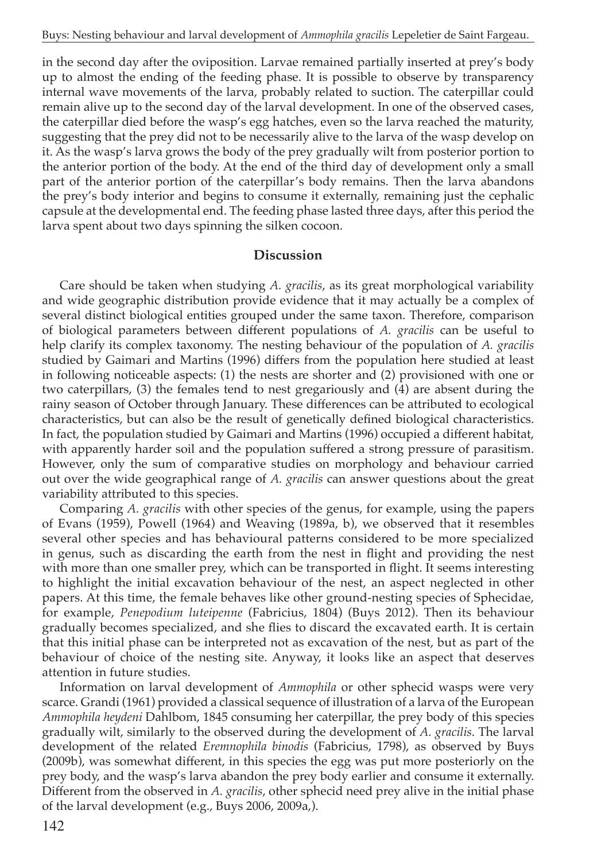in the second day after the oviposition. Larvae remained partially inserted at prey's body up to almost the ending of the feeding phase. It is possible to observe by transparency internal wave movements of the larva, probably related to suction. The caterpillar could remain alive up to the second day of the larval development. In one of the observed cases, the caterpillar died before the wasp's egg hatches, even so the larva reached the maturity, suggesting that the prey did not to be necessarily alive to the larva of the wasp develop on it. As the wasp's larva grows the body of the prey gradually wilt from posterior portion to the anterior portion of the body. At the end of the third day of development only a small part of the anterior portion of the caterpillar's body remains. Then the larva abandons the prey's body interior and begins to consume it externally, remaining just the cephalic capsule at the developmental end. The feeding phase lasted three days, after this period the larva spent about two days spinning the silken cocoon.

#### **Discussion**

Care should be taken when studying *A. gracilis*, as its great morphological variability and wide geographic distribution provide evidence that it may actually be a complex of several distinct biological entities grouped under the same taxon. Therefore, comparison of biological parameters between different populations of *A. gracilis* can be useful to help clarify its complex taxonomy. The nesting behaviour of the population of *A. gracilis* studied by Gaimari and Martins (1996) differs from the population here studied at least in following noticeable aspects: (1) the nests are shorter and (2) provisioned with one or two caterpillars, (3) the females tend to nest gregariously and (4) are absent during the rainy season of October through January. These differences can be attributed to ecological characteristics, but can also be the result of genetically defined biological characteristics. In fact, the population studied by Gaimari and Martins (1996) occupied a different habitat, with apparently harder soil and the population suffered a strong pressure of parasitism. However, only the sum of comparative studies on morphology and behaviour carried out over the wide geographical range of *A. gracilis* can answer questions about the great variability attributed to this species.

Comparing *A. gracilis* with other species of the genus, for example, using the papers of Evans (1959), Powell (1964) and Weaving (1989a, b), we observed that it resembles several other species and has behavioural patterns considered to be more specialized in genus, such as discarding the earth from the nest in flight and providing the nest with more than one smaller prey, which can be transported in flight. It seems interesting to highlight the initial excavation behaviour of the nest, an aspect neglected in other papers. At this time, the female behaves like other ground-nesting species of Sphecidae, for example, *Penepodium luteipenne* (Fabricius, 1804) (Buys 2012). Then its behaviour gradually becomes specialized, and she flies to discard the excavated earth. It is certain that this initial phase can be interpreted not as excavation of the nest, but as part of the behaviour of choice of the nesting site. Anyway, it looks like an aspect that deserves attention in future studies.

Information on larval development of *Ammophila* or other sphecid wasps were very scarce. Grandi (1961) provided a classical sequence of illustration of a larva of the European *Ammophila heydeni* Dahlbom, 1845 consuming her caterpillar, the prey body of this species gradually wilt, similarly to the observed during the development of *A. gracilis*. The larval development of the related *Eremnophila binodis* (Fabricius, 1798), as observed by Buys (2009b), was somewhat different, in this species the egg was put more posteriorly on the prey body, and the wasp's larva abandon the prey body earlier and consume it externally. Different from the observed in *A. gracilis*, other sphecid need prey alive in the initial phase of the larval development (e.g., Buys 2006, 2009a,).